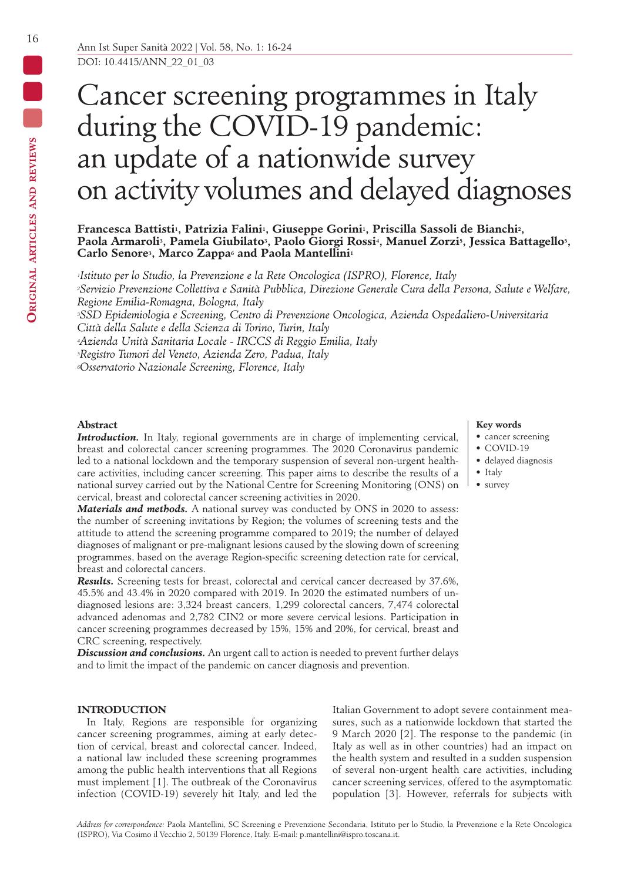# Ō Cancer screening programmes in Italy during the COVID-19 pandemic: an update of a nationwide survey on activity volumes and delayed diagnoses

Francesca Battisti<sup>1</sup>, Patrizia Falini<sup>1</sup>, Giuseppe Gorini<sup>1</sup>, Priscilla Sassoli de Bianchi<sup>2</sup>, Paola Armaroli<sup>3</sup>, Pamela Giubilato<sup>3</sup>, Paolo Giorgi Rossi<sup>4</sup>, Manuel Zorzi<sup>5</sup>, Jessica Battagello<sup>5</sup>, **Carlo Senore3, Marco Zappa6 and Paola Mantellini1**

*1Istituto per lo Studio, la Prevenzione e la Rete Oncologica (ISPRO), Florence, Italy 2Servizio Prevenzione Collettiva e Sanità Pubblica, Direzione Generale Cura della Persona, Salute e Welfare, Regione Emilia-Romagna, Bologna, Italy 3SSD Epidemiologia e Screening, Centro di Prevenzione Oncologica, Azienda Ospedaliero-Universitaria Città della Salute e della Scienza di Torino, Turin, Italy*

*4Azienda Unità Sanitaria Locale - IRCCS di Reggio Emilia, Italy*

*5Registro Tumori del Veneto, Azienda Zero, Padua, Italy*

*6Osservatorio Nazionale Screening, Florence, Italy*

# **Abstract**

*Introduction*. In Italy, regional governments are in charge of implementing cervical, breast and colorectal cancer screening programmes. The 2020 Coronavirus pandemic led to a national lockdown and the temporary suspension of several non-urgent healthcare activities, including cancer screening. This paper aims to describe the results of a national survey carried out by the National Centre for Screening Monitoring (ONS) on cervical, breast and colorectal cancer screening activities in 2020.

*Materials and methods.* A national survey was conducted by ONS in 2020 to assess: the number of screening invitations by Region; the volumes of screening tests and the attitude to attend the screening programme compared to 2019; the number of delayed diagnoses of malignant or pre-malignant lesions caused by the slowing down of screening programmes, based on the average Region-specific screening detection rate for cervical, breast and colorectal cancers.

*Results.* Screening tests for breast, colorectal and cervical cancer decreased by 37.6%, 45.5% and 43.4% in 2020 compared with 2019. In 2020 the estimated numbers of undiagnosed lesions are: 3,324 breast cancers, 1,299 colorectal cancers, 7,474 colorectal advanced adenomas and 2,782 CIN2 or more severe cervical lesions. Participation in cancer screening programmes decreased by 15%, 15% and 20%, for cervical, breast and CRC screening, respectively.

*Discussion and conclusions.* An urgent call to action is needed to prevent further delays and to limit the impact of the pandemic on cancer diagnosis and prevention.

## **INTRODUCTION**

In Italy, Regions are responsible for organizing cancer screening programmes, aiming at early detection of cervical, breast and colorectal cancer. Indeed, a national law included these screening programmes among the public health interventions that all Regions must implement [1]. The outbreak of the Coronavirus infection (COVID-19) severely hit Italy, and led the

(ISPRO), Via Cosimo il Vecchio 2, 50139 Florence, Italy. E-mail: p.mantellini@ispro.toscana.it.

Italian Government to adopt severe containment measures, such as a nationwide lockdown that started the 9 March 2020 [2]. The response to the pandemic (in Italy as well as in other countries) had an impact on the health system and resulted in a sudden suspension of several non-urgent health care activities, including cancer screening services, offered to the asymptomatic population [3]. However, referrals for subjects with

#### **Key words**

- cancer screening
- COVID-19
- delayed diagnosis
- Italy
- survey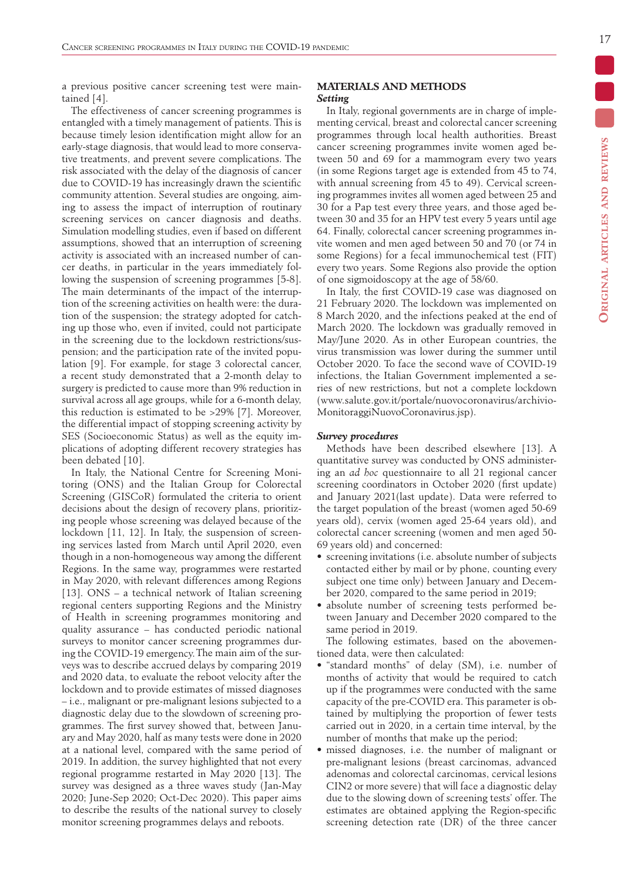a previous positive cancer screening test were maintained [4].

The effectiveness of cancer screening programmes is entangled with a timely management of patients. This is because timely lesion identification might allow for an early-stage diagnosis, that would lead to more conservative treatments, and prevent severe complications. The risk associated with the delay of the diagnosis of cancer due to COVID-19 has increasingly drawn the scientific community attention. Several studies are ongoing, aiming to assess the impact of interruption of routinary screening services on cancer diagnosis and deaths. Simulation modelling studies, even if based on different assumptions, showed that an interruption of screening activity is associated with an increased number of cancer deaths, in particular in the years immediately following the suspension of screening programmes [5-8]. The main determinants of the impact of the interruption of the screening activities on health were: the duration of the suspension; the strategy adopted for catching up those who, even if invited, could not participate in the screening due to the lockdown restrictions/suspension; and the participation rate of the invited population [9]. For example, for stage 3 colorectal cancer, a recent study demonstrated that a 2-month delay to surgery is predicted to cause more than 9% reduction in survival across all age groups, while for a 6-month delay, this reduction is estimated to be >29% [7]. Moreover, the differential impact of stopping screening activity by SES (Socioeconomic Status) as well as the equity implications of adopting different recovery strategies has been debated [10].

In Italy, the National Centre for Screening Monitoring (ONS) and the Italian Group for Colorectal Screening (GISCoR) formulated the criteria to orient decisions about the design of recovery plans, prioritizing people whose screening was delayed because of the lockdown [11, 12]. In Italy, the suspension of screening services lasted from March until April 2020, even though in a non-homogeneous way among the different Regions. In the same way, programmes were restarted in May 2020, with relevant differences among Regions [13]. ONS – a technical network of Italian screening regional centers supporting Regions and the Ministry of Health in screening programmes monitoring and quality assurance – has conducted periodic national surveys to monitor cancer screening programmes during the COVID-19 emergency.The main aim of the surveys was to describe accrued delays by comparing 2019 and 2020 data, to evaluate the reboot velocity after the lockdown and to provide estimates of missed diagnoses – i.e., malignant or pre-malignant lesions subjected to a diagnostic delay due to the slowdown of screening programmes. The first survey showed that, between January and May 2020, half as many tests were done in 2020 at a national level, compared with the same period of 2019. In addition, the survey highlighted that not every regional programme restarted in May 2020 [13]. The survey was designed as a three waves study (Jan-May 2020; June-Sep 2020; Oct-Dec 2020). This paper aims to describe the results of the national survey to closely monitor screening programmes delays and reboots.

# **MATERIALS AND METHODS** *Setting*

In Italy, regional governments are in charge of implementing cervical, breast and colorectal cancer screening programmes through local health authorities. Breast cancer screening programmes invite women aged between 50 and 69 for a mammogram every two years (in some Regions target age is extended from 45 to 74, with annual screening from 45 to 49). Cervical screening programmes invites all women aged between 25 and 30 for a Pap test every three years, and those aged between 30 and 35 for an HPV test every 5 years until age 64. Finally, colorectal cancer screening programmes invite women and men aged between 50 and 70 (or 74 in some Regions) for a fecal immunochemical test (FIT) every two years. Some Regions also provide the option of one sigmoidoscopy at the age of 58/60.

In Italy, the first COVID-19 case was diagnosed on 21 February 2020. The lockdown was implemented on 8 March 2020, and the infections peaked at the end of March 2020. The lockdown was gradually removed in May/June 2020. As in other European countries, the virus transmission was lower during the summer until October 2020. To face the second wave of COVID-19 infections, the Italian Government implemented a series of new restrictions, but not a complete lockdown (www.salute.gov.it/portale/nuovocoronavirus/archivio-MonitoraggiNuovoCoronavirus.jsp).

#### *Survey procedures*

Methods have been described elsewhere [13]. A quantitative survey was conducted by ONS administering an *ad hoc* questionnaire to all 21 regional cancer screening coordinators in October 2020 (first update) and January 2021(last update). Data were referred to the target population of the breast (women aged 50-69 years old), cervix (women aged 25-64 years old), and colorectal cancer screening (women and men aged 50- 69 years old) and concerned:

- screening invitations (i.e. absolute number of subjects contacted either by mail or by phone, counting every subject one time only) between January and December 2020, compared to the same period in 2019;
- absolute number of screening tests performed between January and December 2020 compared to the same period in 2019.

The following estimates, based on the abovementioned data, were then calculated:

- "standard months" of delay (SM), i.e. number of months of activity that would be required to catch up if the programmes were conducted with the same capacity of the pre-COVID era. This parameter is obtained by multiplying the proportion of fewer tests carried out in 2020, in a certain time interval, by the number of months that make up the period;
- missed diagnoses, i.e. the number of malignant or pre-malignant lesions (breast carcinomas, advanced adenomas and colorectal carcinomas, cervical lesions CIN2 or more severe) that will face a diagnostic delay due to the slowing down of screening tests' offer. The estimates are obtained applying the Region-specific screening detection rate (DR) of the three cancer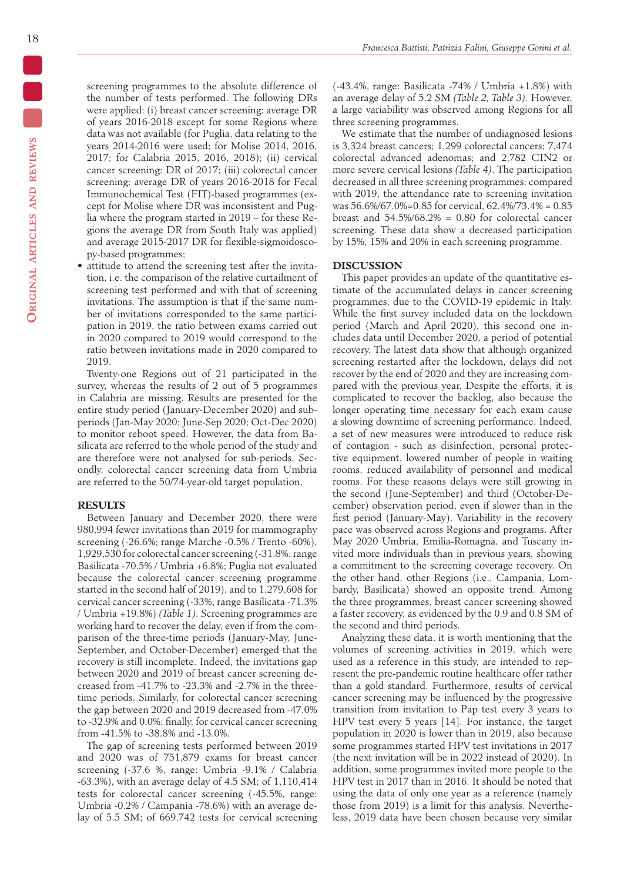screening programmes to the absolute difference of the number of tests performed. The following DRs were applied: (i) breast cancer screening: average DR of years 2016-2018 except for some Regions where data was not available (for Puglia, data relating to the years 2014-2016 were used; for Molise 2014, 2016, 2017; for Calabria 2015, 2016, 2018); (ii) cervical cancer screening: DR of 2017; (iii) colorectal cancer screening: average DR of years 2016-2018 for Fecal Immunochemical Test (FIT)-based programmes (except for Molise where DR was inconsistent and Puglia where the program started in 2019 – for these Regions the average DR from South Italy was applied) and average 2015-2017 DR for flexible-sigmoidoscopy-based programmes;

• attitude to attend the screening test after the invitation, i.e. the comparison of the relative curtailment of screening test performed and with that of screening invitations. The assumption is that if the same number of invitations corresponded to the same participation in 2019, the ratio between exams carried out in 2020 compared to 2019 would correspond to the ratio between invitations made in 2020 compared to 2019.

Twenty-one Regions out of 21 participated in the survey, whereas the results of 2 out of 5 programmes in Calabria are missing. Results are presented for the entire study period (January-December 2020) and subperiods (Jan-May 2020; June-Sep 2020; Oct-Dec 2020) to monitor reboot speed. However, the data from Basilicata are referred to the whole period of the study and are therefore were not analysed for sub-periods. Secondly, colorectal cancer screening data from Umbria are referred to the 50/74-year-old target population.

## **RESULTS**

Between January and December 2020, there were 980,994 fewer invitations than 2019 for mammography screening (-26.6%; range Marche -0.5% / Trento -60%), 1,929,530 for colorectal cancer screening (-31.8%; range Basilicata -70.5% / Umbria +6.8%; Puglia not evaluated because the colorectal cancer screening programme started in the second half of 2019), and to 1,279,608 for cervical cancer screening (-33%, range Basilicata -71.3% / Umbria +19.8%) *(Table 1)*. Screening programmes are working hard to recover the delay, even if from the comparison of the three-time periods (January-May, June-September, and October-December) emerged that the recovery is still incomplete. Indeed, the invitations gap between 2020 and 2019 of breast cancer screening decreased from -41.7% to -23.3% and -2.7% in the threetime periods. Similarly, for colorectal cancer screening the gap between 2020 and 2019 decreased from -47.0% to -32.9% and 0.0%; finally, for cervical cancer screening from -41.5% to -38.8% and -13.0%.

The gap of screening tests performed between 2019 and 2020 was of 751,879 exams for breast cancer screening (-37.6 %, range: Umbria -9.1% / Calabria -63.3%), with an average delay of 4.5 SM; of 1,110,414 tests for colorectal cancer screening (-45.5%, range: Umbria -0.2% / Campania -78.6%) with an average delay of 5.5 SM; of 669,742 tests for cervical screening

(-43.4%, range: Basilicata -74% / Umbria +1.8%) with an average delay of 5.2 SM *(Table 2, Table 3)*. However, a large variability was observed among Regions for all three screening programmes.

We estimate that the number of undiagnosed lesions is 3,324 breast cancers; 1,299 colorectal cancers; 7,474 colorectal advanced adenomas; and 2,782 CIN2 or more severe cervical lesions *(Table 4)*. The participation decreased in all three screening programmes: compared with 2019, the attendance rate to screening invitation was 56.6%/67.0%=0.85 for cervical, 62.4%/73.4% = 0.85 breast and  $54.5\%/68.2\% = 0.80$  for colorectal cancer screening. These data show a decreased participation by 15%, 15% and 20% in each screening programme.

## **DISCUSSION**

This paper provides an update of the quantitative estimate of the accumulated delays in cancer screening programmes, due to the COVID-19 epidemic in Italy. While the first survey included data on the lockdown period (March and April 2020), this second one includes data until December 2020, a period of potential recovery. The latest data show that although organized screening restarted after the lockdown, delays did not recover by the end of 2020 and they are increasing compared with the previous year. Despite the efforts, it is complicated to recover the backlog, also because the longer operating time necessary for each exam cause a slowing downtime of screening performance. Indeed, a set of new measures were introduced to reduce risk of contagion - such as disinfection, personal protective equipment, lowered number of people in waiting rooms, reduced availability of personnel and medical rooms. For these reasons delays were still growing in the second (June-September) and third (October-December) observation period, even if slower than in the first period (January-May). Variability in the recovery pace was observed across Regions and programs. After May 2020 Umbria, Emilia-Romagna, and Tuscany invited more individuals than in previous years, showing a commitment to the screening coverage recovery. On the other hand, other Regions (i.e., Campania, Lombardy, Basilicata) showed an opposite trend. Among the three programmes, breast cancer screening showed a faster recovery, as evidenced by the 0.9 and 0.8 SM of the second and third periods.

Analyzing these data, it is worth mentioning that the volumes of screening activities in 2019, which were used as a reference in this study, are intended to represent the pre-pandemic routine healthcare offer rather than a gold standard. Furthermore, results of cervical cancer screening may be influenced by the progressive transition from invitation to Pap test every 3 years to HPV test every 5 years [14]. For instance, the target population in 2020 is lower than in 2019, also because some programmes started HPV test invitations in 2017 (the next invitation will be in 2022 instead of 2020). In addition, some programmes invited more people to the HPV test in 2017 than in 2016. It should be noted that using the data of only one year as a reference (namely those from 2019) is a limit for this analysis. Nevertheless, 2019 data have been chosen because very similar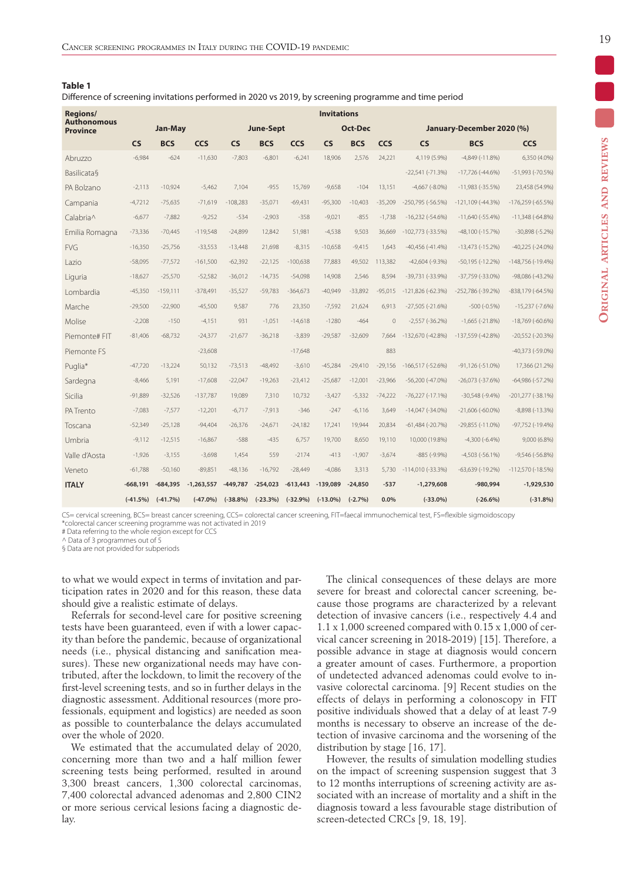| . .<br>v | $\sim$ | $\sim$ |  |
|----------|--------|--------|--|

Difference of screening invitations performed in 2020 vs 2019, by screening programme and time period

| <b>Regions/</b><br><b>Authonomous</b> |            |            |              |            |                  |            | <b>Invitations</b> |            |           |                         |                           |                         |
|---------------------------------------|------------|------------|--------------|------------|------------------|------------|--------------------|------------|-----------|-------------------------|---------------------------|-------------------------|
| <b>Province</b>                       |            | Jan-May    |              |            | <b>June-Sept</b> |            |                    | Oct-Dec    |           |                         | January-December 2020 (%) |                         |
|                                       | <b>CS</b>  | <b>BCS</b> | CCS          | <b>CS</b>  | <b>BCS</b>       | CCS        | <b>CS</b>          | <b>BCS</b> | CCS       | <b>CS</b>               | <b>BCS</b>                | <b>CCS</b>              |
| Abruzzo                               | $-6,984$   | $-624$     | $-11,630$    | $-7,803$   | $-6,801$         | $-6,241$   | 18,906             | 2.576      | 24,221    | 4,119 (5.9%)            | $-4,849(-11.8%)$          | 6,350 (4.0%)            |
| Basilicata§                           |            |            |              |            |                  |            |                    |            |           | $-22,541$ $(-71.3%)$    | $-17,726$ ( $-44.6\%$ )   | $-51,993$ ( $-70.5%$ )  |
| PA Bolzano                            | $-2.113$   | $-10.924$  | $-5.462$     | 7.104      | $-955$           | 15.769     | $-9.658$           | $-104$     | 13.151    | $-4,667$ $(-8.0\%)$     | $-11,983$ ( $-35.5%$ )    | 23,458 (54.9%)          |
| Campania                              | $-4,7212$  | $-75,635$  | $-71,619$    | $-108,283$ | $-35,071$        | $-69,431$  | $-95,300$          | $-10,403$  | $-35,209$ | $-250,795$ ( $-56.5%$ ) | $-121,109$ ( $-44.3%$ )   | $-176,259(-65.5%)$      |
| Calabria^                             | $-6,677$   | $-7,882$   | $-9,252$     | $-534$     | $-2,903$         | $-358$     | $-9,021$           | $-855$     | $-1.738$  | $-16,232$ ( $-54.6%$ )  | $-11,640$ ( $-55.4%$ )    | $-11,348$ ( $-64.8%$ )  |
| Emilia Romagna                        | $-73,336$  | $-70,445$  | $-119,548$   | $-24,899$  | 12,842           | 51,981     | $-4,538$           | 9,503      | 36,669    | $-102,773$ ( $-33.5%$ ) | $-48,100(-15.7%)$         | $-30,898(-5.2%)$        |
| <b>FVG</b>                            | $-16,350$  | $-25,756$  | $-33,553$    | $-13,448$  | 21,698           | $-8,315$   | $-10,658$          | $-9,415$   | 1,643     | $-40,456(-41.4%)$       | $-13,473(-15.2%)$         | $-40,225$ $(-24.0\%)$   |
| Lazio                                 | $-58,095$  | $-77,572$  | $-161,500$   | $-62,392$  | $-22,125$        | $-100,638$ | 77,883             | 49,502     | 113,382   | $-42,604$ $(-9.3%)$     | $-50,195(-12.2%)$         | $-148,756(-19.4%)$      |
| Liguria                               | $-18,627$  | $-25,570$  | $-52,582$    | $-36,012$  | $-14,735$        | $-54,098$  | 14,908             | 2,546      | 8,594     | $-39,731(-33.9%)$       | $-37,759$ ( $-33.0\%$ )   | $-98,086(-43.2%)$       |
| Lombardia                             | $-45,350$  | $-159,111$ | $-378,491$   | $-35,527$  | $-59,783$        | $-364,673$ | $-40,949$          | $-33,892$  | $-95,015$ | $-121,826(-62.3%)$      | -252,786 (-39.2%)         | -838,179 (-64.5%)       |
| Marche                                | $-29,500$  | $-22,900$  | $-45,500$    | 9,587      | 776              | 23,350     | $-7,592$           | 21,624     | 6,913     | $-27,505$ ( $-21.6%$ )  | $-500 (-0.5%)$            | $-15,237$ ( $-7.6%$ )   |
| Molise                                | $-2,208$   | $-150$     | $-4,151$     | 931        | $-1.051$         | $-14,618$  | $-1280$            | $-464$     | $\theta$  | $-2,557$ ( $-36.2%$ )   | $-1,665(-21.8%)$          | $-18,769$ ( $-60.6%$ )  |
| Piemonte# FIT                         | $-81,406$  | $-68,732$  | $-24,377$    | $-21,677$  | $-36,218$        | $-3,839$   | $-29,587$          | $-32,609$  | 7.664     | $-132,670$ ( $-42.8%$ ) | -137,559 (-42.8%)         | $-20,552(-20.3%)$       |
| Piemonte FS                           |            |            | $-23,608$    |            |                  | $-17,648$  |                    |            | 883       |                         |                           | -40,373 (-59.0%)        |
| Puglia*                               | $-47,720$  | $-13,224$  | 50,132       | $-73,513$  | $-48,492$        | $-3,610$   | $-45,284$          | $-29,410$  | $-29,156$ | $-166,517$ ( $-52.6%$ ) | $-91,126(-51.0\%)$        | 17,366 (21.2%)          |
| Sardegna                              | $-8,466$   | 5,191      | $-17,608$    | $-22,047$  | $-19,263$        | $-23,412$  | $-25,687$          | $-12,001$  | $-23,966$ | $-56,200(-47.0\%)$      | $-26,073$ $(-37.6%)$      | $-64,986(-57.2%)$       |
| Sicilia                               | $-91,889$  | $-32,526$  | $-137,787$   | 19,089     | 7.310            | 10,732     | $-3.427$           | $-5,332$   | $-74,222$ | $-76,227(-17.1%)$       | $-30,548$ $(-9.4\%)$      | $-201,277$ ( $-38.1%$ ) |
| PA Trento                             | $-7.083$   | $-7,577$   | $-12,201$    | $-6,717$   | $-7,913$         | $-346$     | $-247$             | $-6,116$   | 3.649     | $-14,047$ ( $-34.0\%$ ) | $-21,606(-60.0\%)$        | $-8,898(-13.3%)$        |
| Toscana                               | $-52,349$  | $-25,128$  | $-94,404$    | $-26,376$  | $-24,671$        | $-24,182$  | 17,241             | 19,944     | 20,834    | $-61,484$ $(-20.7%)$    | $-29,855(-11.0%)$         | -97,752 (-19.4%)        |
| Umbria                                | $-9,112$   | $-12,515$  | $-16,867$    | $-588$     | $-435$           | 6,757      | 19,700             | 8,650      | 19,110    | 10,000 (19.8%)          | $-4,300(-6.4\%)$          | 9,000 (6.8%)            |
| Valle d'Aosta                         | $-1,926$   | $-3,155$   | $-3,698$     | 1,454      | 559              | $-2174$    | $-413$             | $-1,907$   | $-3,674$  | $-885(-9.9%)$           | $-4,503$ $(-56.1\%)$      | $-9,546$ ( $-56.8%$ )   |
| Veneto                                | $-61,788$  | $-50,160$  | $-89,851$    | $-48,136$  | $-16,792$        | $-28,449$  | $-4,086$           | 3,313      | 5,730     | $-114,010(-33.3\%)$     | $-63,639(-19.2%)$         | $-112,570$ ( $-18.5%$ ) |
| <b>ITALY</b>                          | $-668,191$ | $-684,395$ | $-1,263,557$ | $-449,787$ | $-254,023$       | $-613,443$ | $-139,089$         | $-24,850$  | $-537$    | $-1,279,608$            | $-980,994$                | $-1,929,530$            |
|                                       | $(-41.5%)$ | $(-41.7%)$ | $(-47.0\%)$  | $(-38.8%)$ | $(-23.3%)$       | $(-32.9%)$ | $(-13.0\%)$        | $(-2.7%)$  | 0.0%      | $(-33.0\%)$             | $(-26.6%)$                | $(-31.8%)$              |
|                                       |            |            |              |            |                  |            |                    |            |           |                         |                           |                         |

CS= cervical screening, BCS= breast cancer screening, CCS= colorectal cancer screening, FIT=faecal immunochemical test, FS=flexible sigmoidoscopy \*colorectal cancer screening programme was not activated in 2019

# Data referring to the whole region except for CCS

Data of 3 programmes out of 5

§ Data are not provided for subperiods

to what we would expect in terms of invitation and participation rates in 2020 and for this reason, these data should give a realistic estimate of delays.

Referrals for second-level care for positive screening tests have been guaranteed, even if with a lower capacity than before the pandemic, because of organizational needs (i.e., physical distancing and sanification measures). These new organizational needs may have contributed, after the lockdown, to limit the recovery of the first-level screening tests, and so in further delays in the diagnostic assessment. Additional resources (more professionals, equipment and logistics) are needed as soon as possible to counterbalance the delays accumulated over the whole of 2020.

We estimated that the accumulated delay of 2020, concerning more than two and a half million fewer screening tests being performed, resulted in around 3,300 breast cancers, 1,300 colorectal carcinomas, 7,400 colorectal advanced adenomas and 2,800 CIN2 or more serious cervical lesions facing a diagnostic delay.

The clinical consequences of these delays are more severe for breast and colorectal cancer screening, because those programs are characterized by a relevant detection of invasive cancers (i.e., respectively 4.4 and 1.1 x 1,000 screened compared with 0.15 x 1,000 of cervical cancer screening in 2018-2019) [15]. Therefore, a possible advance in stage at diagnosis would concern a greater amount of cases. Furthermore, a proportion of undetected advanced adenomas could evolve to invasive colorectal carcinoma. [9] Recent studies on the effects of delays in performing a colonoscopy in FIT positive individuals showed that a delay of at least 7-9 months is necessary to observe an increase of the detection of invasive carcinoma and the worsening of the distribution by stage [16, 17].

However, the results of simulation modelling studies on the impact of screening suspension suggest that 3 to 12 months interruptions of screening activity are associated with an increase of mortality and a shift in the diagnosis toward a less favourable stage distribution of screen-detected CRCs [9, 18, 19].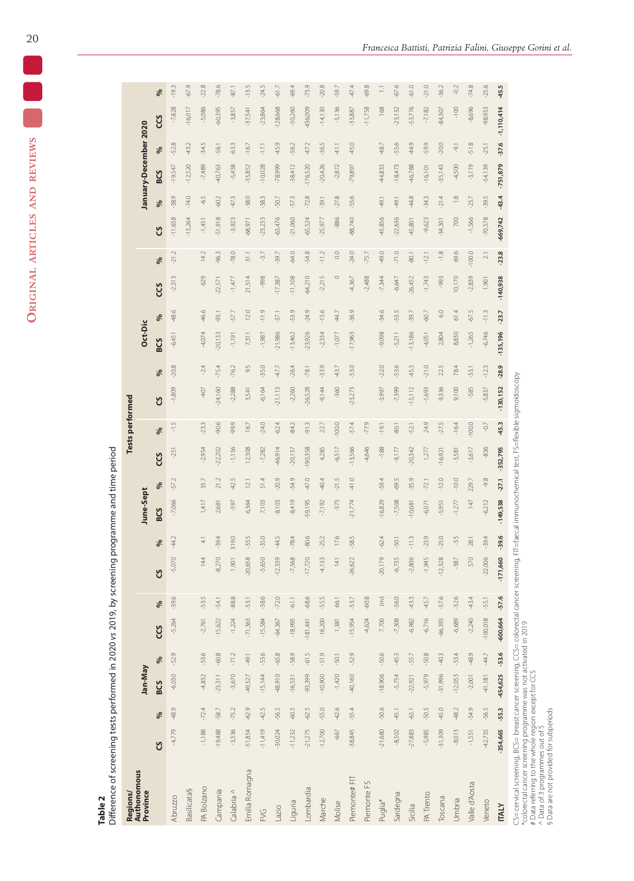ORIGINAL ARTICLES AND REVIEWS **Original articles and reviews**

**Table 2**

|                      | j  |      |
|----------------------|----|------|
|                      |    |      |
|                      |    |      |
|                      |    |      |
|                      |    |      |
|                      |    |      |
|                      |    |      |
|                      |    |      |
|                      |    |      |
|                      | ٔ, |      |
|                      |    |      |
|                      |    |      |
|                      |    |      |
|                      |    |      |
|                      |    |      |
|                      |    |      |
|                      |    |      |
|                      |    | j    |
|                      |    |      |
|                      |    |      |
|                      |    |      |
|                      |    |      |
|                      |    |      |
|                      |    |      |
|                      |    |      |
|                      |    |      |
|                      |    |      |
| $\ddot{\phantom{a}}$ |    |      |
|                      |    |      |
|                      |    |      |
|                      |    |      |
|                      |    |      |
|                      |    | <br> |
|                      |    |      |
|                      |    |      |
|                      |    | ļ    |
| i                    |    | Į    |
|                      |    |      |
|                      |    |      |
|                      |    |      |
|                      |    |      |
|                      |    |      |
|                      |    |      |
|                      |    |      |
|                      |    |      |
|                      |    |      |
|                      |    |      |
|                      |    |      |
|                      |    |      |
|                      |    | ١    |
|                      |    |      |
|                      |    |      |
|                      |    |      |
|                      |    | 1    |
|                      |    |      |
|                      |    |      |
|                      |    |      |
|                      |    |      |
|                      | í  |      |
|                      |    |      |
|                      |    |      |
|                      |    |      |
| i                    | Ĕ  |      |

| Regions/                |           |         |            |         |            |                                   |            |                        |                  |                   |            | <b>Tests performed</b> |            |         |            |               |            |               |           |               |                       |         |                |         |
|-------------------------|-----------|---------|------------|---------|------------|-----------------------------------|------------|------------------------|------------------|-------------------|------------|------------------------|------------|---------|------------|---------------|------------|---------------|-----------|---------------|-----------------------|---------|----------------|---------|
| Authonomous<br>Province |           |         |            | Jan-May |            |                                   |            |                        | <b>June-Sept</b> |                   |            |                        |            |         | Oct-Dic    |               |            |               |           |               | January-December 2020 |         |                |         |
|                         | უ         | ℅       | <b>BCS</b> | ಸಿ      | ပ္ပ        | ್ಗೆ                               | უ          | ್ಗೆ                    | <b>BCS</b>       | ℅                 | ပ္ပ        | ್ಗೆ                    | ပ္ပ        | ಸಿ      | <b>BCS</b> | $\frac{6}{2}$ | ပ္ပ        | ಸಿ            | ပ္ပ       | ಸಿ            | <b>BCS</b>            | ℅       | <b>SCS</b>     | ಸಿ      |
| <b>Abruzzo</b>          | 4,779     | $-48.9$ | $-6,030$   | $-52.9$ | $-5,264$   | $-39.6$                           |            | $-44.2$<br>5,070       | $-7,066$         | $-57.2$           | $-251$     | $-1.5$                 | $-1,809$   | $-20.8$ | $-6,451$   | $-48.6$       | $-2,313$   | Z.<br>$-21$ . | 11,658    | $-38.9$       | $-19,547$             | -52.8   | $-7,828$       | $-19.3$ |
| <b>Basilicata§</b>      |           |         |            |         |            |                                   |            |                        |                  |                   |            |                        |            |         |            |               |            |               | $-13,264$ | $-74.0$       | $-12,520$             | 43.2    | $-16,017$      | $-67.9$ |
| PA Bolzano              | $-1,188$  | $-72.4$ | $-4,832$   | $-53.6$ | $-2,761$   | $-53.5$                           |            | $\overline{41}$<br>144 | 1,417            | 35.7              | $-2,954$   | $-23.3$                | $-407$     | $-2.4$  | $-4,074$   | $-46.6$       | 629        | 14.2          | $-1,451$  | $-6.5$        | $-7,489$              | $-34.5$ | $-5,086$       | $-22.8$ |
| Campania                | $-19,488$ | $-58.7$ | $-23,311$  | $-60.8$ | $-15,622$  | -54.1                             |            | $-39.4$<br>8,270       | 2,681            | 21.2              | $-22,202$  | $-90.6$                | $-24,160$  | $-75.4$ | $-20,133$  | $-93.1$       | $-22,571$  | -96.3         | -51,918   | -60.2         | $-40,763$             | -56.1   | $-60,395$      | $-78.6$ |
| Calabria ^              | $-3,536$  | $-75.2$ | $-3,670$   | $-71.2$ | $-1,224$   | -88.8                             |            | 319.0<br>1,901         |                  | $-42.5$<br>-597   | $-1,156$   | -99.9                  | $-2,288$   | $-76.2$ | $-1,191$   | -57.7         | $-1,477$   | $-78.0$       | $-3,923$  | 47.3          | $-5,458$              | 63.3    | $-3,857$       | $-87.1$ |
| Emilia Romagna          | $-51,854$ | $-62.9$ | $-49,527$  | $-49.1$ | $-71,363$  | $-53.1$                           | $-20,658$  | $-33.5$                | 6,364            | 12.1              | 12,308     | 16.7                   | 3,541      | 9.5     | 7,311      | 12.0          | 21,514     | 31.1          | $-68,971$ | $-38.0$       | $-35,852$             | $-16.7$ | $-37,541$      | $-13.5$ |
| <b>SYE</b>              | $-11,419$ | $-42.5$ | $-15,144$  | $-53.6$ | $-15,584$  | $-38.6$                           |            | $-35.0$<br>$-5,650$    | 7,103            | 51.4              | $-7,282$   | $-24.0$                | $-6,164$   | $-35.0$ | $-1,987$   | $-11.9$       | -998       | $-3.7$        | $-23,233$ | $-38.3$       | $-10,028$             | $-17.1$ | $-23,864$      | $-24.5$ |
| Lazio                   | $-30,024$ | $-56.5$ | $-48,910$  | $-65.8$ | $-64,367$  | $-72.0$                           | $-12,339$  | -44.5                  | $-8,103$         | $-20.9$           | $-46,914$  | $-62.4$                | $-21,113$  | $-47.7$ | $-21,986$  | $-37.1$       | $-17,387$  | -39.7         | $-63,476$ | $-50.7$       | $-78,999$             | 45.9    | $-128,668$     | $-61.7$ |
| Liguria                 | $-11,232$ | $-60.5$ | $-16,531$  | $-58.9$ | $-18,995$  | $-61.1$                           |            | $-78.4$<br>$-7,568$    | $-8,419$         | $-54.9$           | $-20,157$  | $-84.2$                | $-2,260$   | $-26.4$ | $-13,462$  | $-53.9$       | $-11,108$  | -64.0         | $-21,060$ | $-57.3$       | $-38,412$             | $-56.2$ | $-50,260$      | $-69.4$ |
| Lombardia               | $-21,275$ | $-62.5$ | $-93,399$  | $-61.5$ | $-181,441$ | -68.6                             | $-17,720$  | $-80.6$                | $-59,195$        | $-47.0$           | $-190,358$ | $-91.3$                | $-26,528$  | $-78.1$ | $-23,926$  | $-24.9$       | $-64,210$  | -54.8         | $-65,524$ | $-72.8$       | $-176,520$            | 47.2    | $-436,009$     | $-73.9$ |
| Marche                  | $-12,700$ | $-55.0$ | $-10,900$  | $-51.9$ | $-16,200$  | -55.5                             |            | $-25.2$<br>$-4,133$    | $-7,192$         | $-40.4$           | 4,285      | 22.7                   | $-9,144$   | $-33.9$ | $-2,334$   | $-13.6$       | $-2,215$   | $-11.2$       | $-25,977$ | $-39.1$       | $-20,426$             | $-36.5$ | $-14,130$      | $-20.8$ |
| Molise                  | $-667$    | $-42.6$ | $-1,420$   | $-50.1$ | 1,381      | 66.1                              |            | 17.6<br>141            |                  | $-21.5$<br>$-375$ | $-6,517$   | $-1000$                | $-360$     | $-43.7$ | $-1,0.77$  | -44.7         | $\circ$    | $\frac{0}{2}$ | -886      | $-27.8$       | $-2,872$              | $-41.1$ | $-5,136$       | $-59.7$ |
| Piemonte#FIT            | $-38,845$ | $-55.4$ | $-40,160$  | $-52.9$ | $-15,954$  | -53.7                             | $-26,622$  | $-58.5$                | $-21,774$        | $-41.0$           | $-13,566$  | $-57.4$                | $-23,273$  | $-53.0$ | $-17,963$  | $-36.9$       | $-4,367$   | $-24.0$       | $-88,740$ | -55.6         | $-79,897$             | 45.0    | $-33,887$      | $-47.4$ |
| Piemonte FS             |           |         |            |         | $-4,624$   | -60.8                             |            |                        |                  |                   | $-4,646$   | $-77.9$                |            |         |            |               | $-2,488$   | $-75.7$       |           |               |                       |         | $-11,758$      | $-69.8$ |
| Puglia*                 | $-21,680$ | $-50.6$ | $-18,906$  | $-50.6$ | 7,700      | $\widehat{\boldsymbol{\epsilon}}$ | $-20,179$  | $-62.4$                | $-16,829$        | $-59.4$           | $-188$     | $-19.1$                | $-3,997$   | $-22.0$ | $-9,098$   | $-34.6$       | $-7,344$   | 49.0          | $-45,856$ | 49,1          | $-44,833$             | 48.7    | 168            | $\Box$  |
| Sardegna                | $-8,502$  | $-45.1$ | $-5,754$   | $-45.3$ | $-7,308$   | $-56.0$                           |            | $-50.1$<br>$-6,735$    | $-7,508$         | $-69.5$           | $-9,177$   | $-80.1$                | $-7,399$   | -53.6   | $-5,211$   | -53.5         | $-6,647$   | $-71.0$       | $-22,636$ | $-49.1$       | $-18,473$             | -55.6   | $-23,132$      | $-676$  |
| Sicilia                 | $-27,883$ | $-63.1$ | $-22,921$  | -55.7   | $-6,982$   | 43.3                              |            | $-11.3$<br>$-2,806$    | $-10,681$        | $-35.9$           | $-20,342$  | $-52.1$                | $-15,112$  | $-45.3$ | $-13,186$  | $-39.7$       | $-26,452$  | $-80.1$       | $-45,801$ | 44.8          | $-46,788$             | 44.9    | $-53,776$      | $-61.0$ |
| PA Trento               | $-5,985$  | $-50.5$ | $-5,979$   | $-50.8$ | $-6,716$   | 45.7                              |            | $-23.9$<br>$-1,945$    | $-6,071$         | $-72.1$           | 1,277      | 24.9                   | $-1,693$   | $-21.0$ | $-4,051$   | $-60.7$       | $-1,743$   | $-12.1$       | $-9,623$  | $-34.3$       | $-16,101$             | -59.9   | $-7,182$       | $-21.0$ |
| Toscana                 | $-31,309$ | $-45.0$ | $-31,996$  | $-40.3$ | $-66,393$  | -57.6                             | $-12,328$  | $-25.0$                | $-5,951$         | $-12.0$           | $-16,921$  | $-27.5$                | 9,336      | 22.5    | 2,804      | $6.0$         | -993       | $-1.8$        | $-34,301$ | $-21.4$       | $-35,143$             | $-20.0$ | $-84,307$      | $-36.2$ |
| Umbria                  | $-8,013$  | $-48.2$ | $-12,053$  | $-53.4$ | $-6,689$   | $-32.6$                           |            | $-3.5$<br>$-387$       | $-1,277$         | $-10.0$           | $-3,581$   | $-16.4$                | 9,100      | 78.4    | 8,830      | 61.4          | 10,170     | 69.6          | 700       | $\frac{8}{1}$ | $-4,500$              | $-9.1$  | $-100$         | $-0.2$  |
| Valle d'Aosta           | $-1,551$  | $-54.9$ | $-2,001$   | $-48.9$ | $-2,240$   | 43.4                              |            | 28.1<br>570            |                  | 229.7<br>147      | $-3,617$   | $-1000$                | $-585$     | $-33.1$ | $-1,265$   | $-67.5$       | $-2,839$   | $-100.0$      | $-1,566$  | $-23.7$       | $-3,119$              | $-51.8$ | $-8,696$       | $-74.8$ |
| Veneto                  | $-42,735$ | $-56.5$ | $-41,181$  | $-44.7$ | $-100,018$ | $-55.1$                           | $-22,006$  | $-39.4$                | $-6,212$         | $-9.8$            | $-836$     | $-0.7$                 | $-5,837$   | $-123$  | $-6,746$   | $-11.3$       | 1,901      | $\geq 1$      | $-70,578$ | $-39.5$       | $-54,139$             | $-25.1$ | $-98,953$      | $-25.6$ |
| <b>ITALY</b>            | -354,665  | -55.3   | $-454,625$ | $-53.6$ | -600,664   | $-57.6$                           | $-171,660$ | $-39.6$                | $-149,538$       | $-27.1$           | $-352,795$ | $-45.3$                | $-130,152$ | $-28.9$ | $-135,196$ | $-23.7$       | $-140,938$ | $-23.8$       | -669,742  | $-43.4$       | -751,879              | $-37.6$ | $-1, 110, 414$ | $-45.5$ |
|                         |           |         |            |         | i          |                                   |            |                        |                  |                   |            |                        |            |         |            |               |            |               |           |               |                       |         |                |         |

*Francesca Battisti, Patrizia Falini, Giuseppe Gorini et al.*

\*colorectal cancer screening programme was not activated in 2019

# Data referring to the whole region except for CCS

^ Data of 3 programmes out of 5

§ Data are not provided for subperiods

**.**<br>.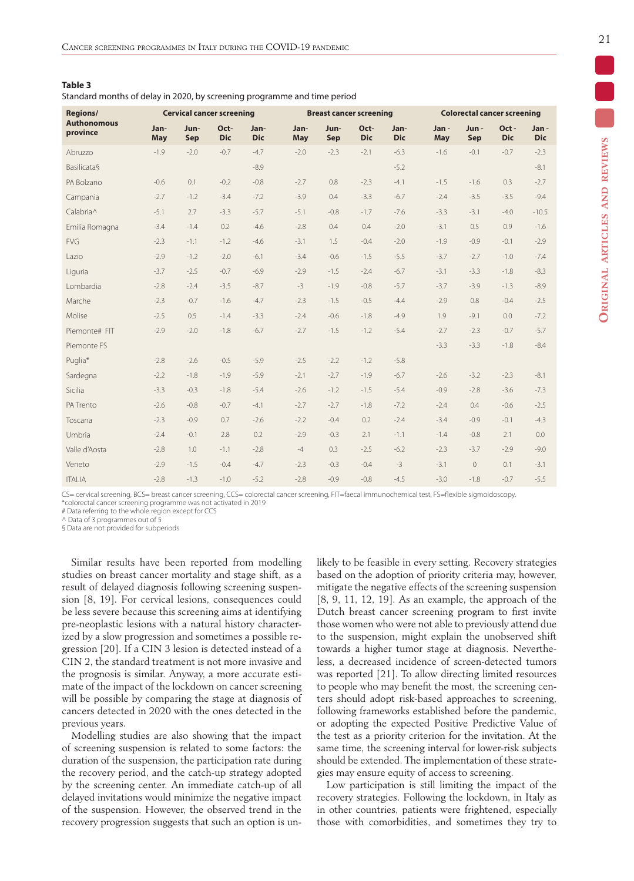Standard months of delay in 2020, by screening programme and time period

| <b>Regions/</b>                |             | <b>Cervical cancer screening</b> |                    |                    |                    |             | <b>Breast cancer screening</b> |                    |             | <b>Colorectal cancer screening</b> |                    |                    |
|--------------------------------|-------------|----------------------------------|--------------------|--------------------|--------------------|-------------|--------------------------------|--------------------|-------------|------------------------------------|--------------------|--------------------|
| <b>Authonomous</b><br>province | Jan-<br>May | Jun-<br>Sep                      | Oct-<br><b>Dic</b> | Jan-<br><b>Dic</b> | Jan-<br><b>May</b> | Jun-<br>Sep | Oct-<br><b>Dic</b>             | Jan-<br><b>Dic</b> | Jan-<br>May | Jun-<br>Sep                        | Oct-<br><b>Dic</b> | Jan-<br><b>Dic</b> |
| Abruzzo                        | $-1.9$      | $-2.0$                           | $-0.7$             | $-4.7$             | $-2.0$             | $-2.3$      | $-2.1$                         | $-6.3$             | $-1.6$      | $-0.1$                             | $-0.7$             | $-2.3$             |
| <b>Basilicata</b> §            |             |                                  |                    | $-8.9$             |                    |             |                                | $-5.2$             |             |                                    |                    | $-8.1$             |
| PA Bolzano                     | $-0.6$      | 0.1                              | $-0.2$             | $-0.8$             | $-2.7$             | 0.8         | $-2.3$                         | $-4.1$             | $-1.5$      | $-1.6$                             | 0.3                | $-2.7$             |
| Campania                       | $-2.7$      | $-1.2$                           | $-3.4$             | $-7.2$             | $-3.9$             | 0.4         | $-3.3$                         | $-6.7$             | $-2.4$      | $-3.5$                             | $-3.5$             | $-9.4$             |
| Calabria^                      | $-5.1$      | 2.7                              | $-3.3$             | $-5.7$             | $-5.1$             | $-0.8$      | $-1.7$                         | $-7.6$             | $-3.3$      | $-3.1$                             | $-4.0$             | $-10.5$            |
| Emilia Romagna                 | $-3.4$      | $-1.4$                           | 0.2                | $-4.6$             | $-2.8$             | 0.4         | 0.4                            | $-2.0$             | $-3.1$      | 0.5                                | 0.9                | $-1.6$             |
| <b>FVG</b>                     | $-2.3$      | $-1.1$                           | $-1.2$             | $-4.6$             | $-3.1$             | 1.5         | $-0.4$                         | $-2.0$             | $-1.9$      | $-0.9$                             | $-0.1$             | $-2.9$             |
| Lazio                          | $-2.9$      | $-1.2$                           | $-2.0$             | $-6.1$             | $-3.4$             | $-0.6$      | $-1.5$                         | $-5.5$             | $-3.7$      | $-2.7$                             | $-1.0$             | $-7.4$             |
| Liguria                        | $-3.7$      | $-2.5$                           | $-0.7$             | $-6.9$             | $-2.9$             | $-1.5$      | $-2.4$                         | $-6.7$             | $-3.1$      | $-3.3$                             | $-1.8$             | $-8.3$             |
| Lombardia                      | $-2.8$      | $-2.4$                           | $-3.5$             | $-8.7$             | $-3$               | $-1.9$      | $-0.8$                         | $-5.7$             | $-3.7$      | $-3.9$                             | $-1.3$             | $-8.9$             |
| Marche                         | $-2.3$      | $-0.7$                           | $-1.6$             | $-4.7$             | $-2.3$             | $-1.5$      | $-0.5$                         | $-4.4$             | $-2.9$      | 0.8                                | $-0.4$             | $-2.5$             |
| Molise                         | $-2.5$      | 0.5                              | $-1.4$             | $-3.3$             | $-2.4$             | $-0.6$      | $-1.8$                         | $-4.9$             | 1.9         | $-9.1$                             | 0.0                | $-7.2$             |
| Piemonte# FIT                  | $-2.9$      | $-2.0$                           | $-1.8$             | $-6.7$             | $-2.7$             | $-1.5$      | $-1.2$                         | $-5.4$             | $-2.7$      | $-2.3$                             | $-0.7$             | $-5.7$             |
| Piemonte FS                    |             |                                  |                    |                    |                    |             |                                |                    | $-3.3$      | $-3.3$                             | $-1.8$             | $-8.4$             |
| Puglia*                        | $-2.8$      | $-2.6$                           | $-0.5$             | $-5.9$             | $-2.5$             | $-2.2$      | $-1.2$                         | $-5.8$             |             |                                    |                    |                    |
| Sardegna                       | $-2.2$      | $-1.8$                           | $-1.9$             | $-5.9$             | $-2.1$             | $-2.7$      | $-1.9$                         | $-6.7$             | $-2.6$      | $-3.2$                             | $-2.3$             | $-8.1$             |
| Sicilia                        | $-3.3$      | $-0.3$                           | $-1.8$             | $-5.4$             | $-2.6$             | $-1.2$      | $-1.5$                         | $-5.4$             | $-0.9$      | $-2.8$                             | $-3.6$             | $-7.3$             |
| PA Trento                      | $-2.6$      | $-0.8$                           | $-0.7$             | $-4.1$             | $-2.7$             | $-2.7$      | $-1.8$                         | $-7.2$             | $-2.4$      | 0.4                                | $-0.6$             | $-2.5$             |
| Toscana                        | $-2.3$      | $-0.9$                           | 0.7                | $-2.6$             | $-2.2$             | $-0.4$      | 0.2                            | $-2.4$             | $-3.4$      | $-0.9$                             | $-0.1$             | $-4.3$             |
| Umbria                         | $-2.4$      | $-0.1$                           | 2.8                | 0.2                | $-2.9$             | $-0.3$      | 2.1                            | $-1.1$             | $-1.4$      | $-0.8$                             | 2.1                | 0.0                |
| Valle d'Aosta                  | $-2.8$      | 1.0                              | $-1.1$             | $-2.8$             | $-4$               | 0.3         | $-2.5$                         | $-6.2$             | $-2.3$      | $-3.7$                             | $-2.9$             | $-9.0$             |
| Veneto                         | $-2.9$      | $-1.5$                           | $-0.4$             | $-4.7$             | $-2.3$             | $-0.3$      | $-0.4$                         | $-3$               | $-3.1$      | $\mathbf{0}$                       | 0.1                | $-3.1$             |
| <b>ITALIA</b>                  | $-2.8$      | $-1.3$                           | $-1.0$             | $-5.2$             | $-2.8$             | $-0.9$      | $-0.8$                         | $-4.5$             | $-3.0$      | $-1.8$                             | $-0.7$             | $-5.5$             |

CS= cervical screening, BCS= breast cancer screening, CCS= colorectal cancer screening, FIT=faecal immunochemical test, FS=flexible sigmoidoscopy. \*colorectal cancer screening programme was not activated in 2019

# Data referring to the whole region except for CCS

Data of 3 programmes out of 5

§ Data are not provided for subperiods

Similar results have been reported from modelling studies on breast cancer mortality and stage shift, as a result of delayed diagnosis following screening suspension [8, 19]. For cervical lesions, consequences could be less severe because this screening aims at identifying pre-neoplastic lesions with a natural history characterized by a slow progression and sometimes a possible regression [20]. If a CIN 3 lesion is detected instead of a CIN 2, the standard treatment is not more invasive and the prognosis is similar. Anyway, a more accurate estimate of the impact of the lockdown on cancer screening will be possible by comparing the stage at diagnosis of cancers detected in 2020 with the ones detected in the previous years.

Modelling studies are also showing that the impact of screening suspension is related to some factors: the duration of the suspension, the participation rate during the recovery period, and the catch-up strategy adopted by the screening center. An immediate catch-up of all delayed invitations would minimize the negative impact of the suspension. However, the observed trend in the recovery progression suggests that such an option is unlikely to be feasible in every setting. Recovery strategies based on the adoption of priority criteria may, however, mitigate the negative effects of the screening suspension [8, 9, 11, 12, 19]. As an example, the approach of the Dutch breast cancer screening program to first invite those women who were not able to previously attend due to the suspension, might explain the unobserved shift towards a higher tumor stage at diagnosis. Nevertheless, a decreased incidence of screen-detected tumors was reported [21]. To allow directing limited resources to people who may benefit the most, the screening centers should adopt risk-based approaches to screening, following frameworks established before the pandemic, or adopting the expected Positive Predictive Value of the test as a priority criterion for the invitation. At the same time, the screening interval for lower-risk subjects should be extended. The implementation of these strategies may ensure equity of access to screening.

Low participation is still limiting the impact of the recovery strategies. Following the lockdown, in Italy as in other countries, patients were frightened, especially those with comorbidities, and sometimes they try to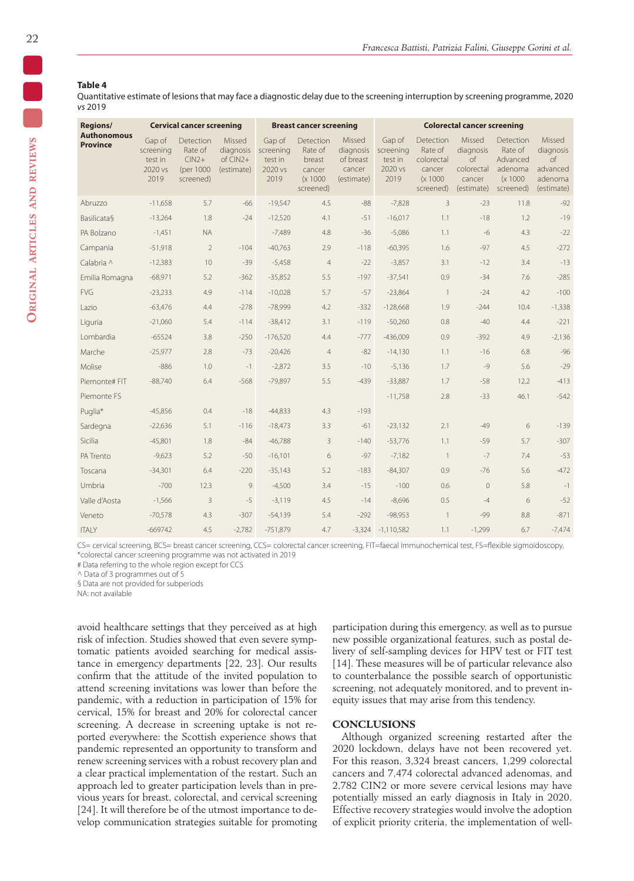## **Table 4**

Quantitative estimate of lesions that may face a diagnostic delay due to the screening interruption by screening programme, 2020 *vs* 2019

| Regions/                              |                                                   | <b>Cervical cancer screening</b>                                  |                                                   |                                                   | <b>Breast cancer screening</b>                                    |                                                          |                                                   |                                                                       | <b>Colorectal cancer screening</b>                                     |                                                                      |                                                                       |
|---------------------------------------|---------------------------------------------------|-------------------------------------------------------------------|---------------------------------------------------|---------------------------------------------------|-------------------------------------------------------------------|----------------------------------------------------------|---------------------------------------------------|-----------------------------------------------------------------------|------------------------------------------------------------------------|----------------------------------------------------------------------|-----------------------------------------------------------------------|
| <b>Authonomous</b><br><b>Province</b> | Gap of<br>screening<br>test in<br>2020 vs<br>2019 | <b>Detection</b><br>Rate of<br>$CIN2+$<br>(per 1000)<br>screened) | Missed<br>diagnosis<br>$of$ $CIN2+$<br>(estimate) | Gap of<br>screening<br>test in<br>2020 vs<br>2019 | Detection<br>Rate of<br>breast<br>cancer<br>(x 1000)<br>screened) | Missed<br>diagnosis<br>of breast<br>cancer<br>(estimate) | Gap of<br>screening<br>test in<br>2020 vs<br>2019 | Detection<br>Rate of<br>colorectal<br>cancer<br>(x 1000)<br>screened) | Missed<br>diagnosis<br>$\circ$ f<br>colorectal<br>cancer<br>(estimate) | Detection<br>Rate of<br>Advanced<br>adenoma<br>(x 1000)<br>screened) | Missed<br>diagnosis<br>$\circ$ f<br>advanced<br>adenoma<br>(estimate) |
| Abruzzo                               | $-11,658$                                         | 5.7                                                               | $-66$                                             | $-19.547$                                         | 4.5                                                               | $-88$                                                    | $-7.828$                                          | 3                                                                     | $-23$                                                                  | 11.8                                                                 | $-92$                                                                 |
| <b>Basilicata</b> §                   | $-13,264$                                         | 1.8                                                               | $-24$                                             | $-12,520$                                         | 4.1                                                               | $-51$                                                    | $-16,017$                                         | 1.1                                                                   | $-18$                                                                  | 1.2                                                                  | $-19$                                                                 |
| PA Bolzano                            | $-1,451$                                          | <b>NA</b>                                                         |                                                   | $-7,489$                                          | 4.8                                                               | $-36$                                                    | $-5,086$                                          | 1.1                                                                   | $-6$                                                                   | 4.3                                                                  | $-22$                                                                 |
| Campania                              | $-51,918$                                         | $\overline{2}$                                                    | $-104$                                            | $-40,763$                                         | 2.9                                                               | $-118$                                                   | $-60,395$                                         | 1.6                                                                   | $-97$                                                                  | 4.5                                                                  | $-272$                                                                |
| Calabria ^                            | $-12,383$                                         | 10                                                                | $-39$                                             | $-5,458$                                          | $\overline{4}$                                                    | $-22$                                                    | $-3,857$                                          | 3.1                                                                   | $-12$                                                                  | 3.4                                                                  | $-13$                                                                 |
| Emilia Romagna                        | $-68,971$                                         | 5.2                                                               | $-362$                                            | $-35,852$                                         | 5.5                                                               | $-197$                                                   | $-37,541$                                         | 0.9                                                                   | $-34$                                                                  | 7.6                                                                  | $-285$                                                                |
| <b>FVG</b>                            | $-23,233$                                         | 4.9                                                               | $-114$                                            | $-10,028$                                         | 5.7                                                               | $-57$                                                    | $-23,864$                                         | $\overline{1}$                                                        | $-24$                                                                  | 4.2                                                                  | $-100$                                                                |
| Lazio                                 | $-63,476$                                         | 4.4                                                               | $-278$                                            | $-78,999$                                         | 4.2                                                               | $-332$                                                   | $-128,668$                                        | 1.9                                                                   | $-244$                                                                 | 10.4                                                                 | $-1,338$                                                              |
| Liguria                               | $-21,060$                                         | 5.4                                                               | $-114$                                            | $-38,412$                                         | 3.1                                                               | $-119$                                                   | $-50,260$                                         | 0.8                                                                   | $-40$                                                                  | 4.4                                                                  | $-221$                                                                |
| Lombardia                             | $-65524$                                          | 3.8                                                               | $-250$                                            | $-176,520$                                        | 4.4                                                               | $-777$                                                   | $-436.009$                                        | 0.9                                                                   | $-392$                                                                 | 4.9                                                                  | $-2.136$                                                              |
| Marche                                | $-25,977$                                         | 2.8                                                               | $-73$                                             | $-20,426$                                         | $\overline{4}$                                                    | $-82$                                                    | $-14,130$                                         | 1.1                                                                   | $-16$                                                                  | 6.8                                                                  | $-96$                                                                 |
| Molise                                | $-886$                                            | 1.0                                                               | $-1$                                              | $-2.872$                                          | 3.5                                                               | $-10$                                                    | $-5.136$                                          | 1.7                                                                   | $-9$                                                                   | 5.6                                                                  | $-29$                                                                 |
| Piemonte# FIT                         | $-88,740$                                         | 6.4                                                               | $-568$                                            | $-79,897$                                         | 5.5                                                               | $-439$                                                   | $-33,887$                                         | 1.7                                                                   | $-58$                                                                  | 12.2                                                                 | $-413$                                                                |
| Piemonte FS                           |                                                   |                                                                   |                                                   |                                                   |                                                                   |                                                          | $-11,758$                                         | 2.8                                                                   | $-33$                                                                  | 46.1                                                                 | $-542$                                                                |
| Puglia*                               | $-45.856$                                         | 0.4                                                               | $-18$                                             | $-44.833$                                         | 4.3                                                               | $-193$                                                   |                                                   |                                                                       |                                                                        |                                                                      |                                                                       |
| Sardegna                              | $-22,636$                                         | 5.1                                                               | $-116$                                            | $-18,473$                                         | 3.3                                                               | $-61$                                                    | $-23,132$                                         | 2.1                                                                   | $-49$                                                                  | 6                                                                    | $-139$                                                                |
| Sicilia                               | $-45,801$                                         | 1.8                                                               | $-84$                                             | $-46,788$                                         | $\overline{3}$                                                    | $-140$                                                   | $-53,776$                                         | 1.1                                                                   | $-59$                                                                  | 5.7                                                                  | $-307$                                                                |
| PA Trento                             | $-9,623$                                          | 5.2                                                               | $-50$                                             | $-16,101$                                         | 6                                                                 | $-97$                                                    | $-7,182$                                          | $\overline{1}$                                                        | $-7$                                                                   | 7.4                                                                  | $-53$                                                                 |
| Toscana                               | $-34,301$                                         | 6.4                                                               | $-220$                                            | $-35,143$                                         | 5.2                                                               | $-183$                                                   | $-84,307$                                         | 0.9                                                                   | $-76$                                                                  | 5.6                                                                  | $-472$                                                                |
| Umbria                                | $-700$                                            | 12.3                                                              | 9                                                 | $-4,500$                                          | 3.4                                                               | $-15$                                                    | $-100$                                            | 0.6                                                                   | $\circ$                                                                | 5.8                                                                  | $-1$                                                                  |
| Valle d'Aosta                         | $-1,566$                                          | $\overline{3}$                                                    | $-5$                                              | $-3,119$                                          | 4.5                                                               | $-14$                                                    | $-8,696$                                          | 0.5                                                                   | $-4$                                                                   | 6                                                                    | $-52$                                                                 |
| Veneto                                | $-70,578$                                         | 4.3                                                               | $-307$                                            | $-54.139$                                         | 5.4                                                               | $-292$                                                   | $-98,953$                                         |                                                                       | $-99$                                                                  | 8.8                                                                  | $-871$                                                                |
| <b>ITALY</b>                          | $-669742$                                         | 4.5                                                               | $-2.782$                                          | $-751.879$                                        | 4.7                                                               |                                                          | $-3.324 -1.110.582$                               | 1.1                                                                   | $-1.299$                                                               | 6.7                                                                  | $-7,474$                                                              |

CS= cervical screening, BCS= breast cancer screening, CCS= colorectal cancer screening, FIT=faecal immunochemical test, FS=flexible sigmoidoscopy. \*colorectal cancer screening programme was not activated in 2019

# Data referring to the whole region except for CCS

^ Data of 3 programmes out of 5

§ Data are not provided for subperiods

NA: not available

avoid healthcare settings that they perceived as at high risk of infection. Studies showed that even severe symptomatic patients avoided searching for medical assistance in emergency departments [22, 23]. Our results confirm that the attitude of the invited population to attend screening invitations was lower than before the pandemic, with a reduction in participation of 15% for cervical, 15% for breast and 20% for colorectal cancer screening. A decrease in screening uptake is not reported everywhere: the Scottish experience shows that pandemic represented an opportunity to transform and renew screening services with a robust recovery plan and a clear practical implementation of the restart. Such an approach led to greater participation levels than in previous years for breast, colorectal, and cervical screening [24]. It will therefore be of the utmost importance to develop communication strategies suitable for promoting participation during this emergency, as well as to pursue new possible organizational features, such as postal delivery of self-sampling devices for HPV test or FIT test [14]. These measures will be of particular relevance also to counterbalance the possible search of opportunistic screening, not adequately monitored, and to prevent inequity issues that may arise from this tendency.

#### **CONCLUSIONS**

Although organized screening restarted after the 2020 lockdown, delays have not been recovered yet. For this reason, 3,324 breast cancers, 1,299 colorectal cancers and 7,474 colorectal advanced adenomas, and 2,782 CIN2 or more severe cervical lesions may have potentially missed an early diagnosis in Italy in 2020. Effective recovery strategies would involve the adoption of explicit priority criteria, the implementation of well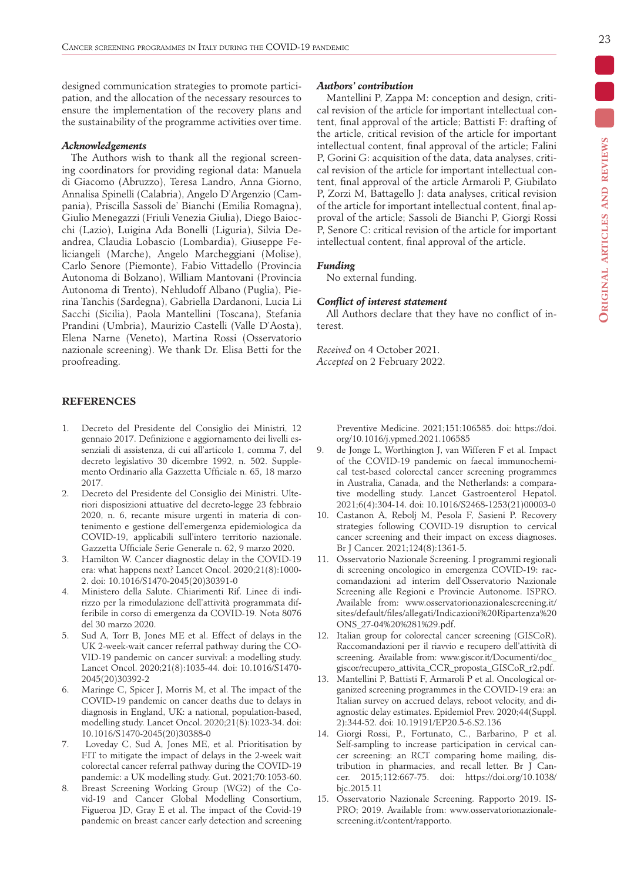designed communication strategies to promote participation, and the allocation of the necessary resources to ensure the implementation of the recovery plans and the sustainability of the programme activities over time.

#### *Acknowledgements*

The Authors wish to thank all the regional screening coordinators for providing regional data: Manuela di Giacomo (Abruzzo), Teresa Landro, Anna Giorno, Annalisa Spinelli (Calabria), Angelo D'Argenzio (Campania), Priscilla Sassoli de' Bianchi (Emilia Romagna), Giulio Menegazzi (Friuli Venezia Giulia), Diego Baiocchi (Lazio), Luigina Ada Bonelli (Liguria), Silvia Deandrea, Claudia Lobascio (Lombardia), Giuseppe Feliciangeli (Marche), Angelo Marcheggiani (Molise), Carlo Senore (Piemonte), Fabio Vittadello (Provincia Autonoma di Bolzano), William Mantovani (Provincia Autonoma di Trento), Nehludoff Albano (Puglia), Pierina Tanchis (Sardegna), Gabriella Dardanoni, Lucia Li Sacchi (Sicilia), Paola Mantellini (Toscana), Stefania Prandini (Umbria), Maurizio Castelli (Valle D'Aosta), Elena Narne (Veneto), Martina Rossi (Osservatorio nazionale screening). We thank Dr. Elisa Betti for the proofreading.

# **REFERENCES**

- 1. Decreto del Presidente del Consiglio dei Ministri, 12 gennaio 2017. Definizione e aggiornamento dei livelli essenziali di assistenza, di cui all'articolo 1, comma 7, del decreto legislativo 30 dicembre 1992, n. 502. Supplemento Ordinario alla Gazzetta Ufficiale n. 65, 18 marzo 2017.
- 2. Decreto del Presidente del Consiglio dei Ministri. Ulteriori disposizioni attuative del decreto-legge 23 febbraio 2020, n. 6, recante misure urgenti in materia di contenimento e gestione dell'emergenza epidemiologica da COVID-19, applicabili sull'intero territorio nazionale. Gazzetta Ufficiale Serie Generale n. 62, 9 marzo 2020.
- 3. Hamilton W. Cancer diagnostic delay in the COVID-19 era: what happens next? Lancet Oncol. 2020;21(8):1000- 2. doi: 10.1016/S1470-2045(20)30391-0
- 4. Ministero della Salute. Chiarimenti Rif. Linee di indirizzo per la rimodulazione dell'attività programmata differibile in corso di emergenza da COVID-19. Nota 8076 del 30 marzo 2020.
- 5. Sud A, Torr B, Jones ME et al. Effect of delays in the UK 2-week-wait cancer referral pathway during the CO-VID-19 pandemic on cancer survival: a modelling study. Lancet Oncol. 2020;21(8):1035-44. doi: 10.1016/S1470- 2045(20)30392-2
- 6. Maringe C, Spicer J, Morris M, et al. The impact of the COVID-19 pandemic on cancer deaths due to delays in diagnosis in England, UK: a national, population-based, modelling study. Lancet Oncol. 2020;21(8):1023-34. doi: 10.1016/S1470-2045(20)30388-0
- 7. Loveday C, Sud A, Jones ME, et al. Prioritisation by FIT to mitigate the impact of delays in the 2-week wait colorectal cancer referral pathway during the COVID-19 pandemic: a UK modelling study. Gut. 2021;70:1053-60.
- 8. Breast Screening Working Group (WG2) of the Covid-19 and Cancer Global Modelling Consortium, Figueroa JD, Gray E et al. The impact of the Covid-19 pandemic on breast cancer early detection and screening

## *Authors' contribution*

Mantellini P, Zappa M: conception and design, critical revision of the article for important intellectual content, final approval of the article; Battisti F: drafting of the article, critical revision of the article for important intellectual content, final approval of the article; Falini P, Gorini G: acquisition of the data, data analyses, critical revision of the article for important intellectual content, final approval of the article Armaroli P, Giubilato P, Zorzi M, Battagello J: data analyses, critical revision of the article for important intellectual content, final approval of the article; Sassoli de Bianchi P, Giorgi Rossi P, Senore C: critical revision of the article for important intellectual content, final approval of the article.

#### *Funding*

No external funding.

## *Conflict of interest statement*

All Authors declare that they have no conflict of interest.

*Received* on 4 October 2021. *Accepted* on 2 February 2022.

> Preventive Medicine. 2021;151:106585. doi: https://doi. org/10.1016/j.ypmed.2021.106585

- 9. de Jonge L, Worthington J, van Wifferen F et al. Impact of the COVID-19 pandemic on faecal immunochemical test-based colorectal cancer screening programmes in Australia, Canada, and the Netherlands: a comparative modelling study. Lancet Gastroenterol Hepatol. 2021;6(4):304-14. doi: 10.1016/S2468-1253(21)00003-0
- 10. Castanon A, Rebolj M, Pesola F, Sasieni P. Recovery strategies following COVID-19 disruption to cervical cancer screening and their impact on excess diagnoses. Br J Cancer. 2021;124(8):1361-5.
- 11. Osservatorio Nazionale Screening. I programmi regionali di screening oncologico in emergenza COVID-19: raccomandazioni ad interim dell'Osservatorio Nazionale Screening alle Regioni e Provincie Autonome. ISPRO. Available from: www.osservatorionazionalescreening.it/ sites/default/files/allegati/Indicazioni%20Ripartenza%20 ONS\_27-04%20%281%29.pdf.
- 12. Italian group for colorectal cancer screening (GISCoR). Raccomandazioni per il riavvio e recupero dell'attività di screening. Available from: www.giscor.it/Documenti/doc\_ giscor/recupero\_attivita\_CCR\_proposta\_GISCoR\_r2.pdf.
- 13. Mantellini P, Battisti F, Armaroli P et al. Oncological organized screening programmes in the COVID-19 era: an Italian survey on accrued delays, reboot velocity, and diagnostic delay estimates. Epidemiol Prev. 2020;44(Suppl. 2):344-52. doi: 10.19191/EP20.5-6.S2.136
- 14. Giorgi Rossi, P., Fortunato, C., Barbarino, P et al. Self-sampling to increase participation in cervical cancer screening: an RCT comparing home mailing, distribution in pharmacies, and recall letter. Br J Cancer. 2015;112:667-75. doi: https://doi.org/10.1038/ bjc.2015.11
- 15. Osservatorio Nazionale Screening. Rapporto 2019. IS-PRO; 2019. Available from: www.osservatorionazionalescreening.it/content/rapporto.